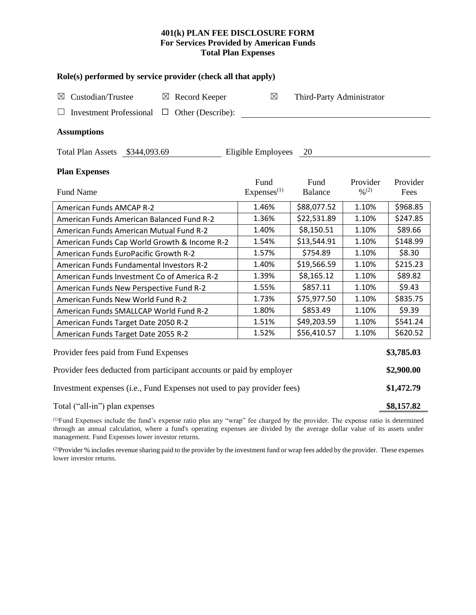## **401(k) PLAN FEE DISCLOSURE FORM For Services Provided by American Funds Total Plan Expenses**

| Role(s) performed by service provider (check all that apply)            |                        |                           |          |            |  |  |  |  |  |
|-------------------------------------------------------------------------|------------------------|---------------------------|----------|------------|--|--|--|--|--|
| Custodian/Trustee<br>$\boxtimes$ Record Keeper<br>$\boxtimes$           | $\boxtimes$            | Third-Party Administrator |          |            |  |  |  |  |  |
| <b>Investment Professional</b><br>Other (Describe):<br>$\Box$           |                        |                           |          |            |  |  |  |  |  |
| <b>Assumptions</b>                                                      |                        |                           |          |            |  |  |  |  |  |
| Total Plan Assets \$344,093.69                                          | Eligible Employees 20  |                           |          |            |  |  |  |  |  |
| <b>Plan Expenses</b>                                                    |                        |                           |          |            |  |  |  |  |  |
|                                                                         | Fund                   | Fund                      | Provider | Provider   |  |  |  |  |  |
| <b>Fund Name</b>                                                        | Express <sup>(1)</sup> | <b>Balance</b>            | 0/2      | Fees       |  |  |  |  |  |
| <b>American Funds AMCAP R-2</b>                                         | 1.46%                  | \$88,077.52               | 1.10%    | \$968.85   |  |  |  |  |  |
| American Funds American Balanced Fund R-2                               | 1.36%                  | \$22,531.89               | 1.10%    | \$247.85   |  |  |  |  |  |
| American Funds American Mutual Fund R-2                                 | 1.40%                  | \$8,150.51                | 1.10%    | \$89.66    |  |  |  |  |  |
| American Funds Cap World Growth & Income R-2                            | 1.54%                  | \$13,544.91               | 1.10%    | \$148.99   |  |  |  |  |  |
| American Funds EuroPacific Growth R-2                                   | 1.57%                  | \$754.89                  | 1.10%    | \$8.30     |  |  |  |  |  |
| American Funds Fundamental Investors R-2                                | 1.40%                  | \$19,566.59               | 1.10%    | \$215.23   |  |  |  |  |  |
| American Funds Investment Co of America R-2                             | 1.39%                  | \$8,165.12                | 1.10%    | \$89.82    |  |  |  |  |  |
| American Funds New Perspective Fund R-2                                 | 1.55%                  | \$857.11                  | 1.10%    | \$9.43     |  |  |  |  |  |
| American Funds New World Fund R-2                                       | 1.73%                  | \$75,977.50               | 1.10%    | \$835.75   |  |  |  |  |  |
| American Funds SMALLCAP World Fund R-2                                  | 1.80%                  | \$853.49                  | 1.10%    | \$9.39     |  |  |  |  |  |
| American Funds Target Date 2050 R-2                                     | 1.51%                  | \$49,203.59               | 1.10%    | \$541.24   |  |  |  |  |  |
| American Funds Target Date 2055 R-2                                     | 1.52%                  | \$56,410.57               | 1.10%    | \$620.52   |  |  |  |  |  |
| Provider fees paid from Fund Expenses                                   |                        |                           |          | \$3,785.03 |  |  |  |  |  |
| Provider fees deducted from participant accounts or paid by employer    |                        |                           |          |            |  |  |  |  |  |
| Investment expenses (i.e., Fund Expenses not used to pay provider fees) |                        |                           |          |            |  |  |  |  |  |
| Total ("all-in") plan expenses                                          |                        |                           |          |            |  |  |  |  |  |

(1)Fund Expenses include the fund's expense ratio plus any "wrap" fee charged by the provider. The expense ratio is determined through an annual calculation, where a fund's operating expenses are divided by the average dollar value of its assets under management. Fund Expenses lower investor returns.

<sup>(2)</sup>Provider % includes revenue sharing paid to the provider by the investment fund or wrap fees added by the provider. These expenses lower investor returns.